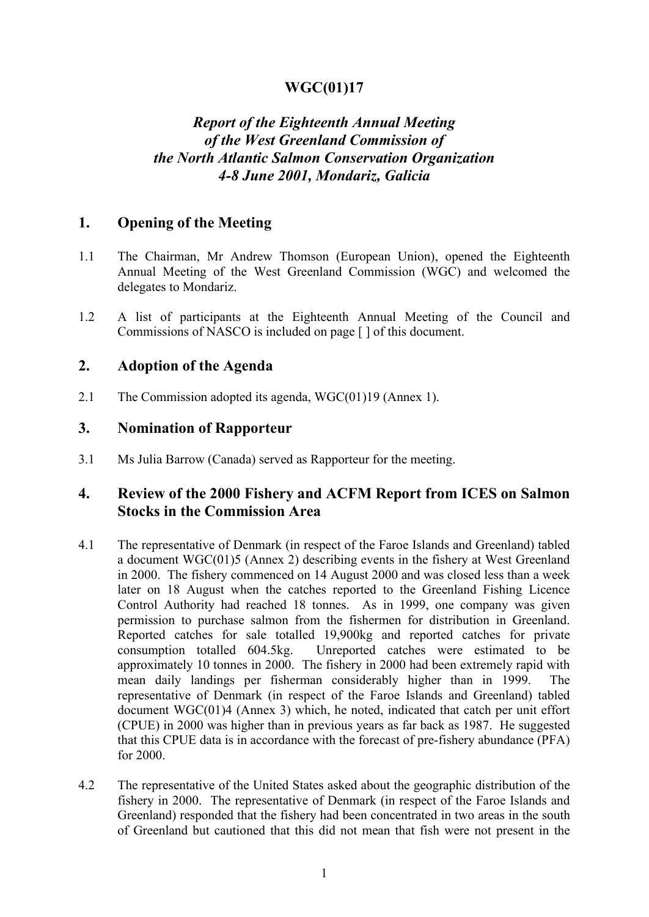## **WGC(01)17**

# *Report of the Eighteenth Annual Meeting of the West Greenland Commission of the North Atlantic Salmon Conservation Organization 4-8 June 2001, Mondariz, Galicia*

## **1. Opening of the Meeting**

- 1.1 The Chairman, Mr Andrew Thomson (European Union), opened the Eighteenth Annual Meeting of the West Greenland Commission (WGC) and welcomed the delegates to Mondariz.
- 1.2 A list of participants at the Eighteenth Annual Meeting of the Council and Commissions of NASCO is included on page [ ] of this document.

### **2. Adoption of the Agenda**

2.1 The Commission adopted its agenda, WGC(01)19 (Annex 1).

## **3. Nomination of Rapporteur**

3.1 Ms Julia Barrow (Canada) served as Rapporteur for the meeting.

#### **4. Review of the 2000 Fishery and ACFM Report from ICES on Salmon Stocks in the Commission Area**

- 4.1 The representative of Denmark (in respect of the Faroe Islands and Greenland) tabled a document WGC(01)5 (Annex 2) describing events in the fishery at West Greenland in 2000. The fishery commenced on 14 August 2000 and was closed less than a week later on 18 August when the catches reported to the Greenland Fishing Licence Control Authority had reached 18 tonnes. As in 1999, one company was given permission to purchase salmon from the fishermen for distribution in Greenland. Reported catches for sale totalled 19,900kg and reported catches for private consumption totalled 604.5kg. Unreported catches were estimated to be approximately 10 tonnes in 2000. The fishery in 2000 had been extremely rapid with mean daily landings per fisherman considerably higher than in 1999. The representative of Denmark (in respect of the Faroe Islands and Greenland) tabled document WGC(01)4 (Annex 3) which, he noted, indicated that catch per unit effort (CPUE) in 2000 was higher than in previous years as far back as 1987. He suggested that this CPUE data is in accordance with the forecast of pre-fishery abundance (PFA) for 2000.
- 4.2 The representative of the United States asked about the geographic distribution of the fishery in 2000. The representative of Denmark (in respect of the Faroe Islands and Greenland) responded that the fishery had been concentrated in two areas in the south of Greenland but cautioned that this did not mean that fish were not present in the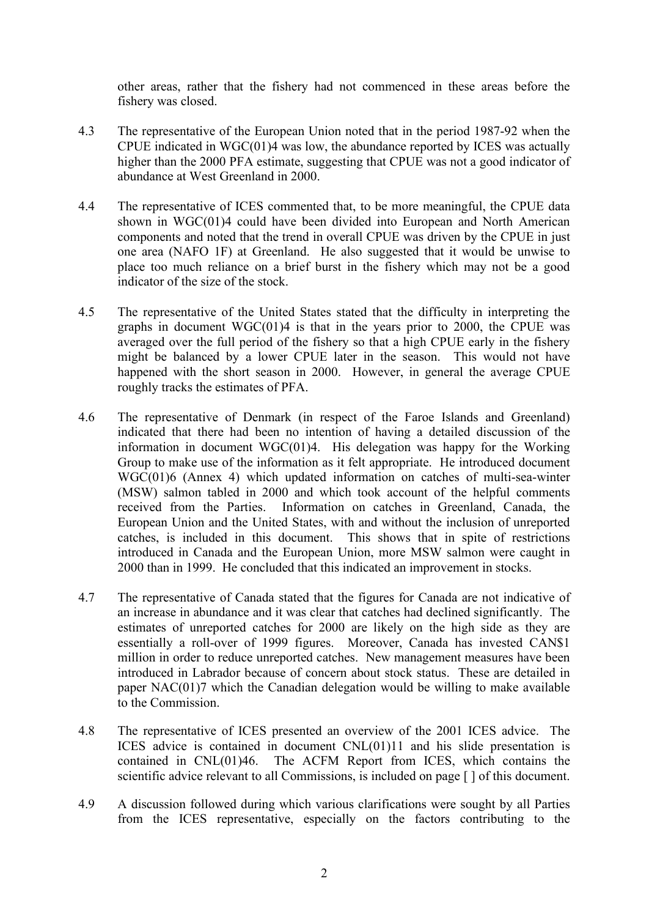other areas, rather that the fishery had not commenced in these areas before the fishery was closed.

- 4.3 The representative of the European Union noted that in the period 1987-92 when the CPUE indicated in WGC(01)4 was low, the abundance reported by ICES was actually higher than the 2000 PFA estimate, suggesting that CPUE was not a good indicator of abundance at West Greenland in 2000.
- 4.4 The representative of ICES commented that, to be more meaningful, the CPUE data shown in WGC(01)4 could have been divided into European and North American components and noted that the trend in overall CPUE was driven by the CPUE in just one area (NAFO 1F) at Greenland. He also suggested that it would be unwise to place too much reliance on a brief burst in the fishery which may not be a good indicator of the size of the stock.
- 4.5 The representative of the United States stated that the difficulty in interpreting the graphs in document  $WGC(01)4$  is that in the years prior to 2000, the CPUE was averaged over the full period of the fishery so that a high CPUE early in the fishery might be balanced by a lower CPUE later in the season. This would not have happened with the short season in 2000. However, in general the average CPUE roughly tracks the estimates of PFA.
- 4.6 The representative of Denmark (in respect of the Faroe Islands and Greenland) indicated that there had been no intention of having a detailed discussion of the information in document WGC(01)4. His delegation was happy for the Working Group to make use of the information as it felt appropriate. He introduced document WGC(01)6 (Annex 4) which updated information on catches of multi-sea-winter (MSW) salmon tabled in 2000 and which took account of the helpful comments received from the Parties. Information on catches in Greenland, Canada, the European Union and the United States, with and without the inclusion of unreported catches, is included in this document. This shows that in spite of restrictions introduced in Canada and the European Union, more MSW salmon were caught in 2000 than in 1999. He concluded that this indicated an improvement in stocks.
- 4.7 The representative of Canada stated that the figures for Canada are not indicative of an increase in abundance and it was clear that catches had declined significantly. The estimates of unreported catches for 2000 are likely on the high side as they are essentially a roll-over of 1999 figures. Moreover, Canada has invested CAN\$1 million in order to reduce unreported catches. New management measures have been introduced in Labrador because of concern about stock status. These are detailed in paper NAC(01)7 which the Canadian delegation would be willing to make available to the Commission.
- 4.8 The representative of ICES presented an overview of the 2001 ICES advice. The ICES advice is contained in document CNL(01)11 and his slide presentation is contained in CNL(01)46. The ACFM Report from ICES, which contains the scientific advice relevant to all Commissions, is included on page [ ] of this document.
- 4.9 A discussion followed during which various clarifications were sought by all Parties from the ICES representative, especially on the factors contributing to the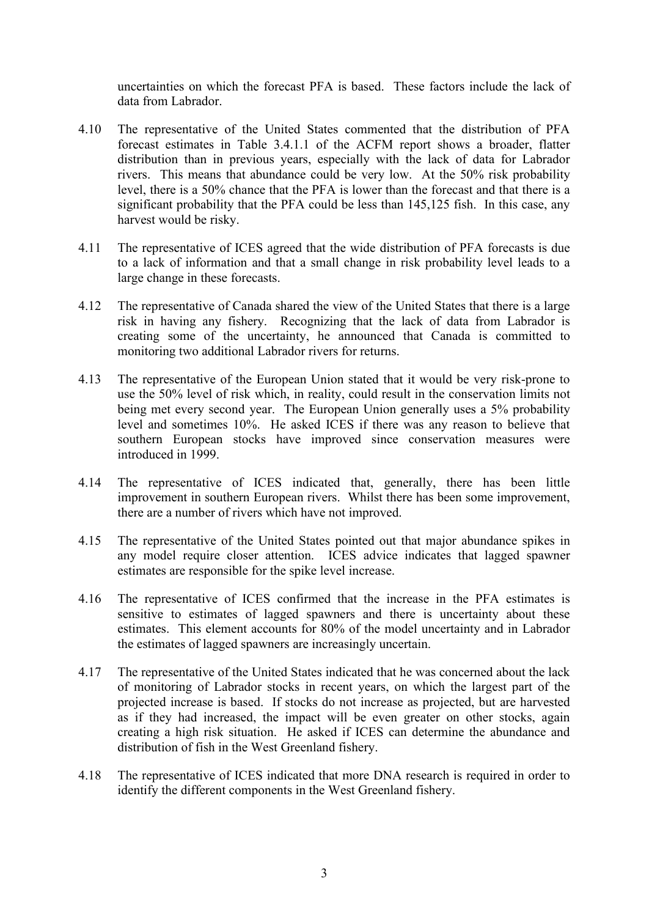uncertainties on which the forecast PFA is based. These factors include the lack of data from Labrador.

- 4.10 The representative of the United States commented that the distribution of PFA forecast estimates in Table 3.4.1.1 of the ACFM report shows a broader, flatter distribution than in previous years, especially with the lack of data for Labrador rivers. This means that abundance could be very low. At the 50% risk probability level, there is a 50% chance that the PFA is lower than the forecast and that there is a significant probability that the PFA could be less than 145,125 fish. In this case, any harvest would be risky.
- 4.11 The representative of ICES agreed that the wide distribution of PFA forecasts is due to a lack of information and that a small change in risk probability level leads to a large change in these forecasts.
- 4.12 The representative of Canada shared the view of the United States that there is a large risk in having any fishery. Recognizing that the lack of data from Labrador is creating some of the uncertainty, he announced that Canada is committed to monitoring two additional Labrador rivers for returns.
- 4.13 The representative of the European Union stated that it would be very risk-prone to use the 50% level of risk which, in reality, could result in the conservation limits not being met every second year. The European Union generally uses a 5% probability level and sometimes 10%. He asked ICES if there was any reason to believe that southern European stocks have improved since conservation measures were introduced in 1999.
- 4.14 The representative of ICES indicated that, generally, there has been little improvement in southern European rivers. Whilst there has been some improvement, there are a number of rivers which have not improved.
- 4.15 The representative of the United States pointed out that major abundance spikes in any model require closer attention. ICES advice indicates that lagged spawner estimates are responsible for the spike level increase.
- 4.16 The representative of ICES confirmed that the increase in the PFA estimates is sensitive to estimates of lagged spawners and there is uncertainty about these estimates. This element accounts for 80% of the model uncertainty and in Labrador the estimates of lagged spawners are increasingly uncertain.
- 4.17 The representative of the United States indicated that he was concerned about the lack of monitoring of Labrador stocks in recent years, on which the largest part of the projected increase is based. If stocks do not increase as projected, but are harvested as if they had increased, the impact will be even greater on other stocks, again creating a high risk situation. He asked if ICES can determine the abundance and distribution of fish in the West Greenland fishery.
- 4.18 The representative of ICES indicated that more DNA research is required in order to identify the different components in the West Greenland fishery.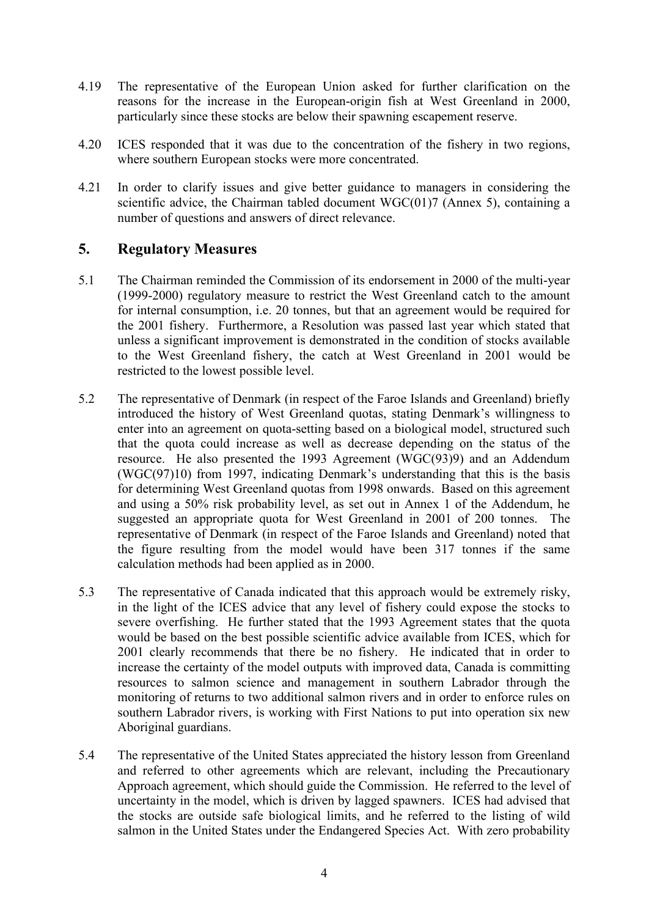- 4.19 The representative of the European Union asked for further clarification on the reasons for the increase in the European-origin fish at West Greenland in 2000, particularly since these stocks are below their spawning escapement reserve.
- 4.20 ICES responded that it was due to the concentration of the fishery in two regions, where southern European stocks were more concentrated.
- 4.21 In order to clarify issues and give better guidance to managers in considering the scientific advice, the Chairman tabled document WGC(01)7 (Annex 5), containing a number of questions and answers of direct relevance.

#### **5. Regulatory Measures**

- 5.1 The Chairman reminded the Commission of its endorsement in 2000 of the multi-year (1999-2000) regulatory measure to restrict the West Greenland catch to the amount for internal consumption, i.e. 20 tonnes, but that an agreement would be required for the 2001 fishery. Furthermore, a Resolution was passed last year which stated that unless a significant improvement is demonstrated in the condition of stocks available to the West Greenland fishery, the catch at West Greenland in 2001 would be restricted to the lowest possible level.
- 5.2 The representative of Denmark (in respect of the Faroe Islands and Greenland) briefly introduced the history of West Greenland quotas, stating Denmark's willingness to enter into an agreement on quota-setting based on a biological model, structured such that the quota could increase as well as decrease depending on the status of the resource. He also presented the 1993 Agreement (WGC(93)9) and an Addendum (WGC(97)10) from 1997, indicating Denmark's understanding that this is the basis for determining West Greenland quotas from 1998 onwards. Based on this agreement and using a 50% risk probability level, as set out in Annex 1 of the Addendum, he suggested an appropriate quota for West Greenland in 2001 of 200 tonnes. The representative of Denmark (in respect of the Faroe Islands and Greenland) noted that the figure resulting from the model would have been 317 tonnes if the same calculation methods had been applied as in 2000.
- 5.3 The representative of Canada indicated that this approach would be extremely risky, in the light of the ICES advice that any level of fishery could expose the stocks to severe overfishing. He further stated that the 1993 Agreement states that the quota would be based on the best possible scientific advice available from ICES, which for 2001 clearly recommends that there be no fishery. He indicated that in order to increase the certainty of the model outputs with improved data, Canada is committing resources to salmon science and management in southern Labrador through the monitoring of returns to two additional salmon rivers and in order to enforce rules on southern Labrador rivers, is working with First Nations to put into operation six new Aboriginal guardians.
- 5.4 The representative of the United States appreciated the history lesson from Greenland and referred to other agreements which are relevant, including the Precautionary Approach agreement, which should guide the Commission. He referred to the level of uncertainty in the model, which is driven by lagged spawners. ICES had advised that the stocks are outside safe biological limits, and he referred to the listing of wild salmon in the United States under the Endangered Species Act. With zero probability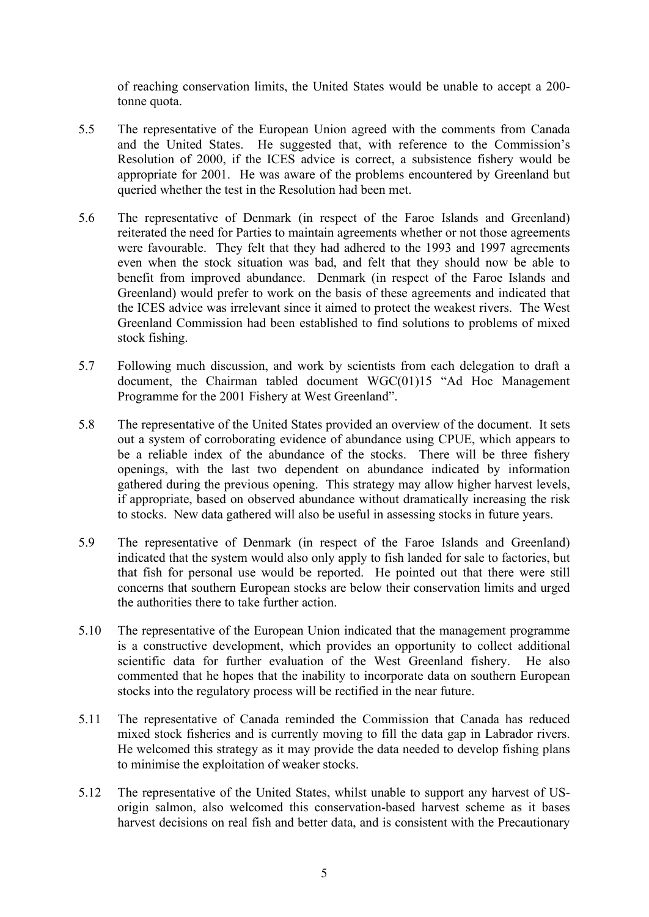of reaching conservation limits, the United States would be unable to accept a 200 tonne quota.

- 5.5 The representative of the European Union agreed with the comments from Canada and the United States. He suggested that, with reference to the Commission's Resolution of 2000, if the ICES advice is correct, a subsistence fishery would be appropriate for 2001. He was aware of the problems encountered by Greenland but queried whether the test in the Resolution had been met.
- 5.6 The representative of Denmark (in respect of the Faroe Islands and Greenland) reiterated the need for Parties to maintain agreements whether or not those agreements were favourable. They felt that they had adhered to the 1993 and 1997 agreements even when the stock situation was bad, and felt that they should now be able to benefit from improved abundance. Denmark (in respect of the Faroe Islands and Greenland) would prefer to work on the basis of these agreements and indicated that the ICES advice was irrelevant since it aimed to protect the weakest rivers. The West Greenland Commission had been established to find solutions to problems of mixed stock fishing.
- 5.7 Following much discussion, and work by scientists from each delegation to draft a document, the Chairman tabled document WGC(01)15 "Ad Hoc Management Programme for the 2001 Fishery at West Greenland".
- 5.8 The representative of the United States provided an overview of the document. It sets out a system of corroborating evidence of abundance using CPUE, which appears to be a reliable index of the abundance of the stocks. There will be three fishery openings, with the last two dependent on abundance indicated by information gathered during the previous opening. This strategy may allow higher harvest levels, if appropriate, based on observed abundance without dramatically increasing the risk to stocks. New data gathered will also be useful in assessing stocks in future years.
- 5.9 The representative of Denmark (in respect of the Faroe Islands and Greenland) indicated that the system would also only apply to fish landed for sale to factories, but that fish for personal use would be reported. He pointed out that there were still concerns that southern European stocks are below their conservation limits and urged the authorities there to take further action.
- 5.10 The representative of the European Union indicated that the management programme is a constructive development, which provides an opportunity to collect additional scientific data for further evaluation of the West Greenland fishery. He also commented that he hopes that the inability to incorporate data on southern European stocks into the regulatory process will be rectified in the near future.
- 5.11 The representative of Canada reminded the Commission that Canada has reduced mixed stock fisheries and is currently moving to fill the data gap in Labrador rivers. He welcomed this strategy as it may provide the data needed to develop fishing plans to minimise the exploitation of weaker stocks.
- 5.12 The representative of the United States, whilst unable to support any harvest of USorigin salmon, also welcomed this conservation-based harvest scheme as it bases harvest decisions on real fish and better data, and is consistent with the Precautionary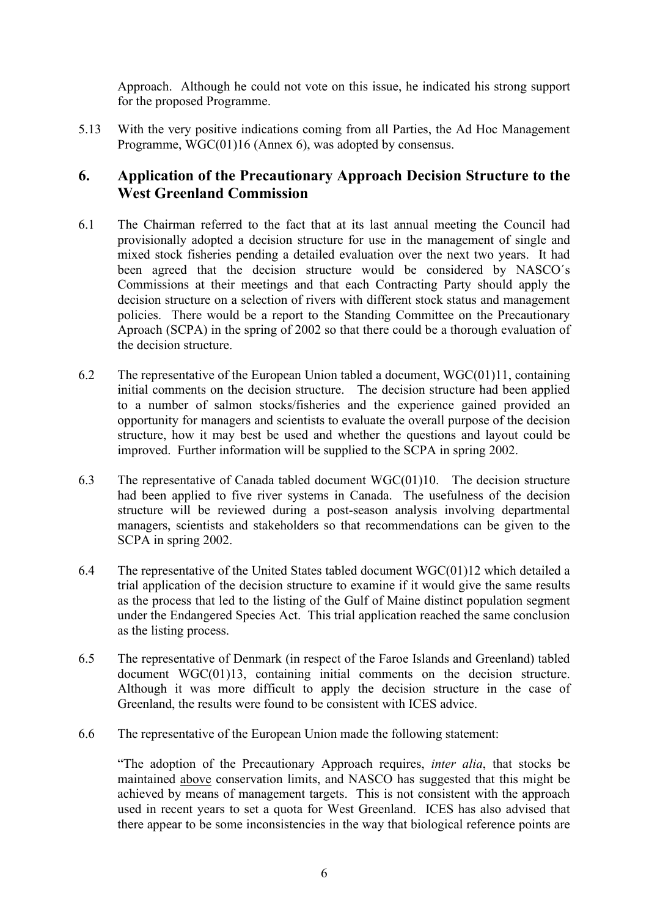Approach. Although he could not vote on this issue, he indicated his strong support for the proposed Programme.

5.13 With the very positive indications coming from all Parties, the Ad Hoc Management Programme, WGC(01)16 (Annex 6), was adopted by consensus.

### **6. Application of the Precautionary Approach Decision Structure to the West Greenland Commission**

- 6.1 The Chairman referred to the fact that at its last annual meeting the Council had provisionally adopted a decision structure for use in the management of single and mixed stock fisheries pending a detailed evaluation over the next two years. It had been agreed that the decision structure would be considered by NASCO´s Commissions at their meetings and that each Contracting Party should apply the decision structure on a selection of rivers with different stock status and management policies. There would be a report to the Standing Committee on the Precautionary Aproach (SCPA) in the spring of 2002 so that there could be a thorough evaluation of the decision structure.
- 6.2 The representative of the European Union tabled a document, WGC(01)11, containing initial comments on the decision structure. The decision structure had been applied to a number of salmon stocks/fisheries and the experience gained provided an opportunity for managers and scientists to evaluate the overall purpose of the decision structure, how it may best be used and whether the questions and layout could be improved. Further information will be supplied to the SCPA in spring 2002.
- 6.3 The representative of Canada tabled document WGC(01)10. The decision structure had been applied to five river systems in Canada. The usefulness of the decision structure will be reviewed during a post-season analysis involving departmental managers, scientists and stakeholders so that recommendations can be given to the SCPA in spring 2002.
- 6.4 The representative of the United States tabled document WGC(01)12 which detailed a trial application of the decision structure to examine if it would give the same results as the process that led to the listing of the Gulf of Maine distinct population segment under the Endangered Species Act. This trial application reached the same conclusion as the listing process.
- 6.5 The representative of Denmark (in respect of the Faroe Islands and Greenland) tabled document WGC(01)13, containing initial comments on the decision structure. Although it was more difficult to apply the decision structure in the case of Greenland, the results were found to be consistent with ICES advice.
- 6.6 The representative of the European Union made the following statement:

"The adoption of the Precautionary Approach requires, *inter alia*, that stocks be maintained above conservation limits, and NASCO has suggested that this might be achieved by means of management targets. This is not consistent with the approach used in recent years to set a quota for West Greenland. ICES has also advised that there appear to be some inconsistencies in the way that biological reference points are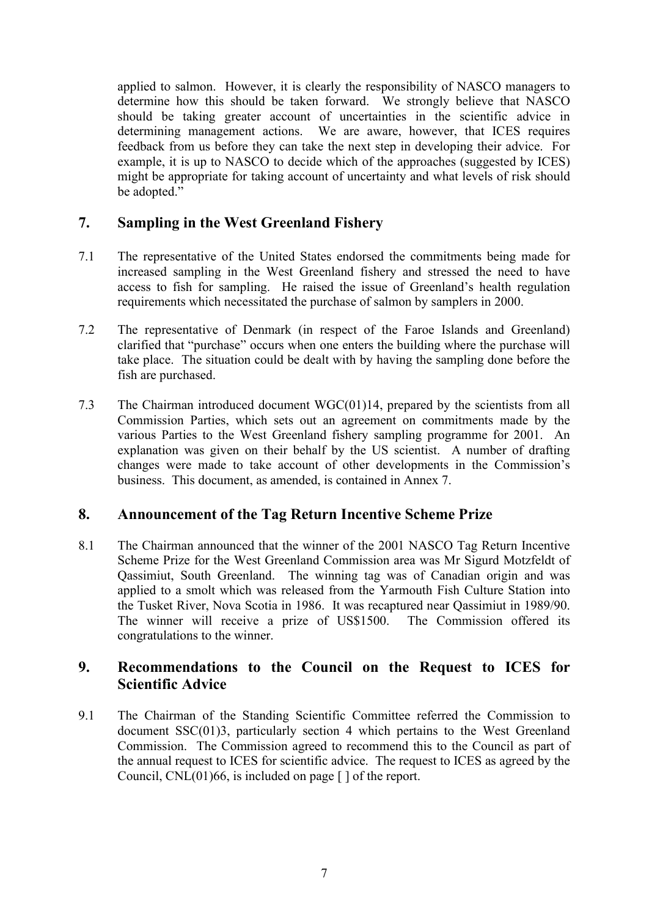applied to salmon. However, it is clearly the responsibility of NASCO managers to determine how this should be taken forward. We strongly believe that NASCO should be taking greater account of uncertainties in the scientific advice in determining management actions. We are aware, however, that ICES requires feedback from us before they can take the next step in developing their advice. For example, it is up to NASCO to decide which of the approaches (suggested by ICES) might be appropriate for taking account of uncertainty and what levels of risk should be adopted."

## **7. Sampling in the West Greenland Fishery**

- 7.1 The representative of the United States endorsed the commitments being made for increased sampling in the West Greenland fishery and stressed the need to have access to fish for sampling. He raised the issue of Greenland's health regulation requirements which necessitated the purchase of salmon by samplers in 2000.
- 7.2 The representative of Denmark (in respect of the Faroe Islands and Greenland) clarified that "purchase" occurs when one enters the building where the purchase will take place. The situation could be dealt with by having the sampling done before the fish are purchased.
- 7.3 The Chairman introduced document WGC(01)14, prepared by the scientists from all Commission Parties, which sets out an agreement on commitments made by the various Parties to the West Greenland fishery sampling programme for 2001. An explanation was given on their behalf by the US scientist. A number of drafting changes were made to take account of other developments in the Commission's business. This document, as amended, is contained in Annex 7.

## **8. Announcement of the Tag Return Incentive Scheme Prize**

8.1 The Chairman announced that the winner of the 2001 NASCO Tag Return Incentive Scheme Prize for the West Greenland Commission area was Mr Sigurd Motzfeldt of Qassimiut, South Greenland. The winning tag was of Canadian origin and was applied to a smolt which was released from the Yarmouth Fish Culture Station into the Tusket River, Nova Scotia in 1986. It was recaptured near Qassimiut in 1989/90. The winner will receive a prize of US\$1500. The Commission offered its congratulations to the winner.

## **9. Recommendations to the Council on the Request to ICES for Scientific Advice**

9.1 The Chairman of the Standing Scientific Committee referred the Commission to document SSC(01)3, particularly section 4 which pertains to the West Greenland Commission. The Commission agreed to recommend this to the Council as part of the annual request to ICES for scientific advice. The request to ICES as agreed by the Council,  $CNL(01)66$ , is included on page  $\lceil \cdot \rceil$  of the report.